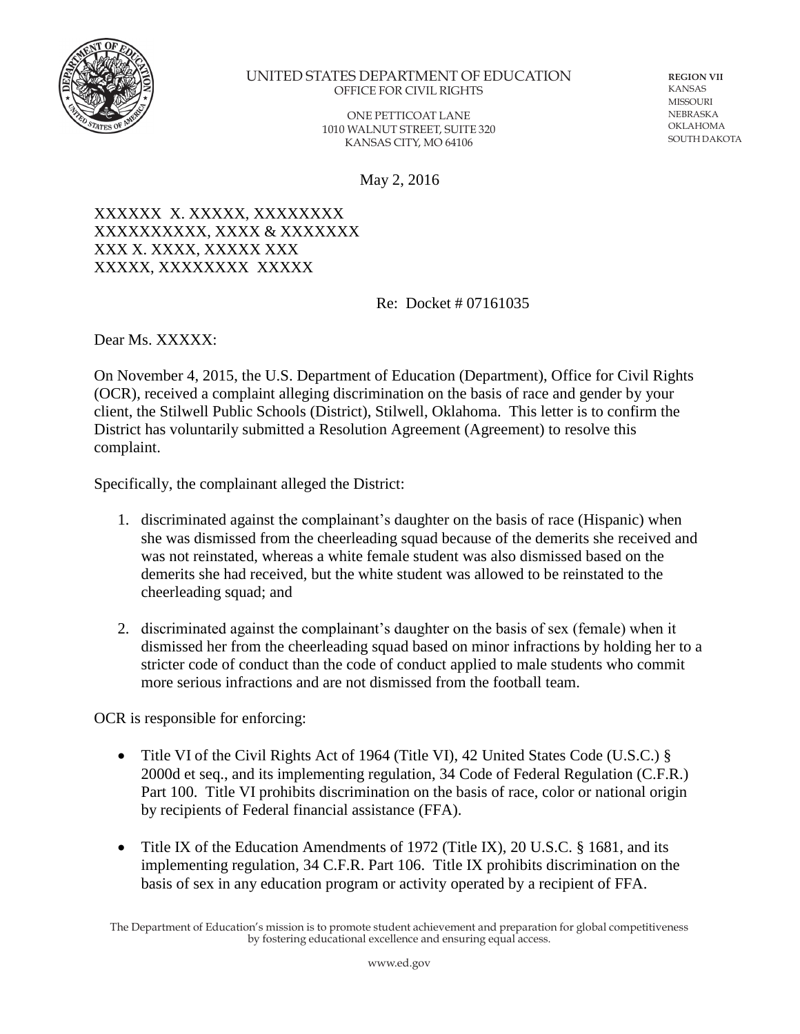

## UNITED STATES DEPARTMENT OF EDUCATION OFFICE FOR CIVIL RIGHTS

ONE PETTICOAT LANE 1010 WALNUT STREET, SUITE 320 KANSAS CITY, MO 64106

**REGION VII**  KANSAS **MISSOURI** NEBRASKA OKLAHOMA SOUTH DAKOTA

May 2, 2016

## XXXXXX X. XXXXX, XXXXXXXX XXXXXXXXXX, XXXX & XXXXXXX XXX X. XXXX, XXXXX XXX XXXXX, XXXXXXXX XXXXX

Re: Docket # 07161035

Dear Ms. XXXXX:

On November 4, 2015, the U.S. Department of Education (Department), Office for Civil Rights (OCR), received a complaint alleging discrimination on the basis of race and gender by your client, the Stilwell Public Schools (District), Stilwell, Oklahoma. This letter is to confirm the District has voluntarily submitted a Resolution Agreement (Agreement) to resolve this complaint.

Specifically, the complainant alleged the District:

- 1. discriminated against the complainant's daughter on the basis of race (Hispanic) when she was dismissed from the cheerleading squad because of the demerits she received and was not reinstated, whereas a white female student was also dismissed based on the demerits she had received, but the white student was allowed to be reinstated to the cheerleading squad; and
- 2. discriminated against the complainant's daughter on the basis of sex (female) when it dismissed her from the cheerleading squad based on minor infractions by holding her to a stricter code of conduct than the code of conduct applied to male students who commit more serious infractions and are not dismissed from the football team.

OCR is responsible for enforcing:

- Title VI of the Civil Rights Act of 1964 (Title VI), 42 United States Code (U.S.C.) § 2000d et seq., and its implementing regulation, 34 Code of Federal Regulation (C.F.R.) Part 100. Title VI prohibits discrimination on the basis of race, color or national origin by recipients of Federal financial assistance (FFA).
- Title IX of the Education Amendments of 1972 (Title IX), 20 U.S.C. § 1681, and its implementing regulation, 34 C.F.R. Part 106. Title IX prohibits discrimination on the basis of sex in any education program or activity operated by a recipient of FFA.

The Department of Education's mission is to promote student achievement and preparation for global competitiveness by fostering educational excellence and ensuring equal access.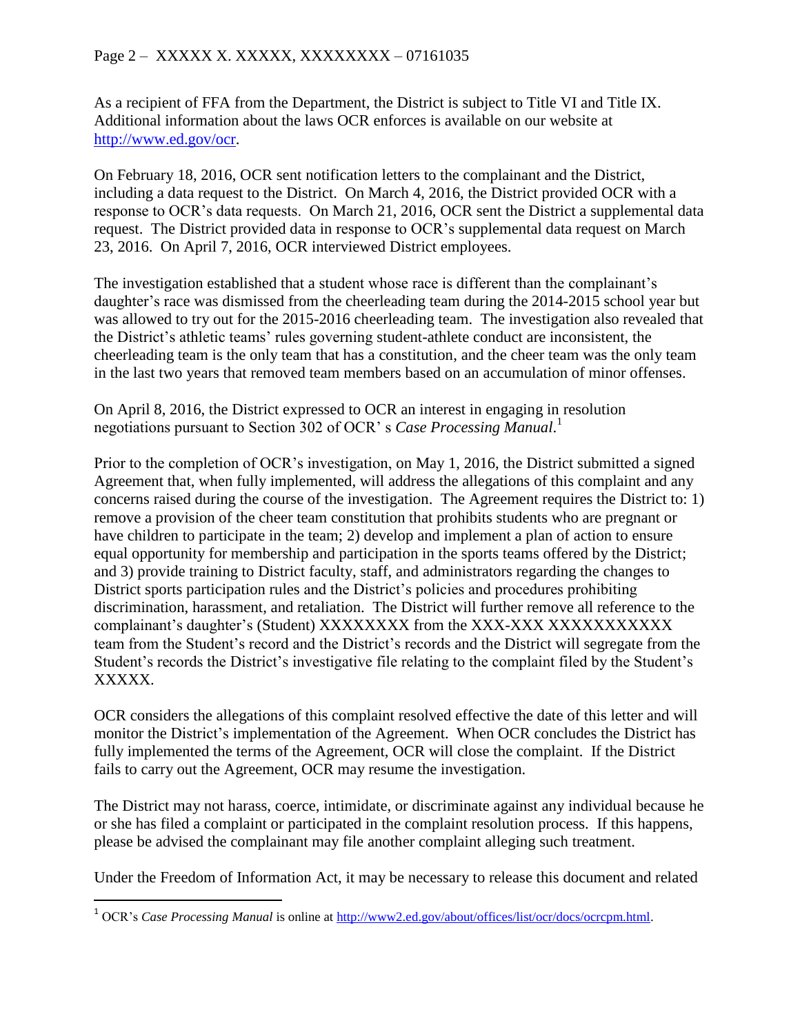As a recipient of FFA from the Department, the District is subject to Title VI and Title IX. Additional information about the laws OCR enforces is available on our website at [http://www.ed.gov/ocr.](http://www.ed.gov/ocr)

On February 18, 2016, OCR sent notification letters to the complainant and the District, including a data request to the District. On March 4, 2016, the District provided OCR with a response to OCR's data requests. On March 21, 2016, OCR sent the District a supplemental data request. The District provided data in response to OCR's supplemental data request on March 23, 2016. On April 7, 2016, OCR interviewed District employees.

The investigation established that a student whose race is different than the complainant's daughter's race was dismissed from the cheerleading team during the 2014-2015 school year but was allowed to try out for the 2015-2016 cheerleading team. The investigation also revealed that the District's athletic teams' rules governing student-athlete conduct are inconsistent, the cheerleading team is the only team that has a constitution, and the cheer team was the only team in the last two years that removed team members based on an accumulation of minor offenses.

On April 8, 2016, the District expressed to OCR an interest in engaging in resolution negotiations pursuant to Section 302 of OCR' s *Case Processing Manual*. 1

Prior to the completion of OCR's investigation, on May 1, 2016, the District submitted a signed Agreement that, when fully implemented, will address the allegations of this complaint and any concerns raised during the course of the investigation. The Agreement requires the District to: 1) remove a provision of the cheer team constitution that prohibits students who are pregnant or have children to participate in the team; 2) develop and implement a plan of action to ensure equal opportunity for membership and participation in the sports teams offered by the District; and 3) provide training to District faculty, staff, and administrators regarding the changes to District sports participation rules and the District's policies and procedures prohibiting discrimination, harassment, and retaliation. The District will further remove all reference to the complainant's daughter's (Student) XXXXXXXX from the XXX-XXX XXXXXXXXXXX team from the Student's record and the District's records and the District will segregate from the Student's records the District's investigative file relating to the complaint filed by the Student's XXXXX.

OCR considers the allegations of this complaint resolved effective the date of this letter and will monitor the District's implementation of the Agreement. When OCR concludes the District has fully implemented the terms of the Agreement, OCR will close the complaint. If the District fails to carry out the Agreement, OCR may resume the investigation.

The District may not harass, coerce, intimidate, or discriminate against any individual because he or she has filed a complaint or participated in the complaint resolution process. If this happens, please be advised the complainant may file another complaint alleging such treatment.

Under the Freedom of Information Act, it may be necessary to release this document and related

 $\overline{\phantom{a}}$ 

<sup>1</sup> OCR's *Case Processing Manual* is online at [http://www2.ed.gov/about/offices/list/ocr/docs/ocrcpm.html.](http://www2.ed.gov/about/offices/list/ocr/docs/ocrcpm.html)